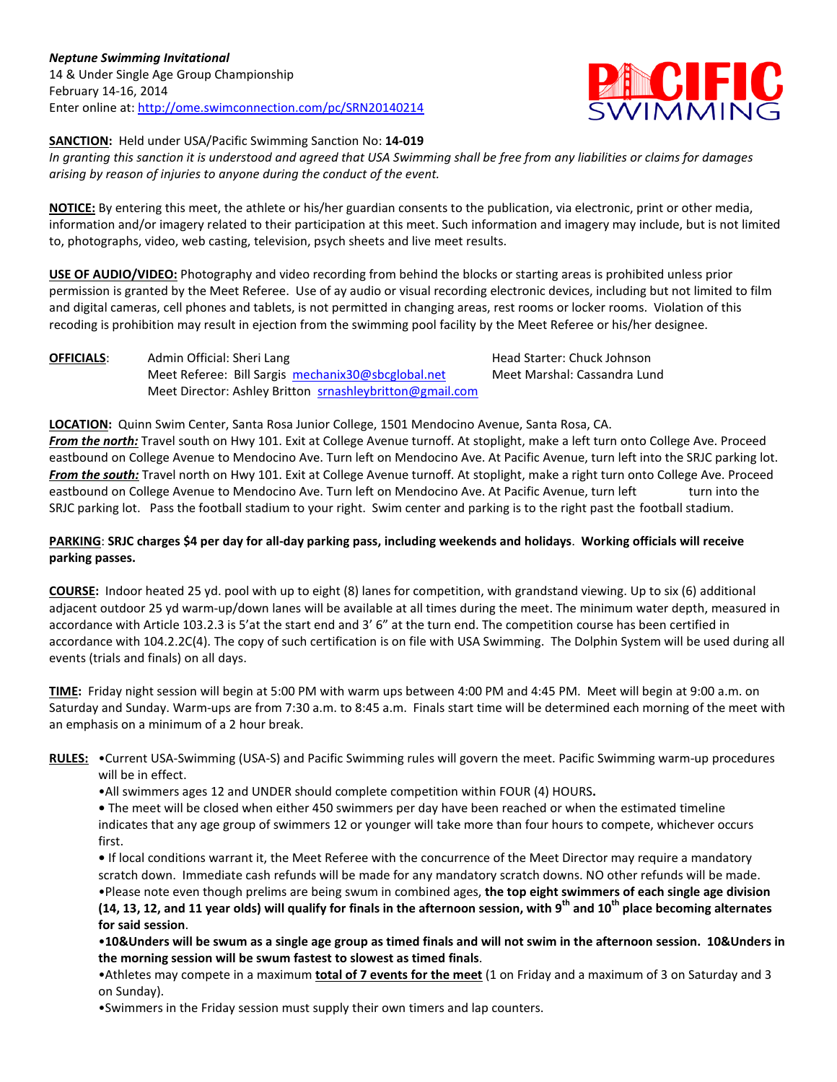

## **SANCTION:** Held under USA/Pacific Swimming Sanction No: **14-019**

*In granting this sanction it is understood and agreed that USA Swimming shall be free from any liabilities or claims for damages arising by reason of injuries to anyone during the conduct of the event.*

**NOTICE:** By entering this meet, the athlete or his/her guardian consents to the publication, via electronic, print or other media, information and/or imagery related to their participation at this meet. Such information and imagery may include, but is not limited to, photographs, video, web casting, television, psych sheets and live meet results.

**USE OF AUDIO/VIDEO:** Photography and video recording from behind the blocks or starting areas is prohibited unless prior permission is granted by the Meet Referee. Use of ay audio or visual recording electronic devices, including but not limited to film and digital cameras, cell phones and tablets, is not permitted in changing areas, rest rooms or locker rooms. Violation of this recoding is prohibition may result in ejection from the swimming pool facility by the Meet Referee or his/her designee.

**OFFICIALS:** Admin Official: Sheri Lang Head Starter: Chuck Johnson Meet Referee: Bill Sargis [mechanix30@sbcglobal.net](mailto:mechanix30@sbcglobal.net) Meet Marshal: Cassandra Lund Meet Director: Ashley Britton [srnashleybritton@gmail.com](mailto:srnashleybritton@gmail.com)

**LOCATION:** Quinn Swim Center, Santa Rosa Junior College, 1501 Mendocino Avenue, Santa Rosa, CA. *From the north:* Travel south on Hwy 101. Exit at College Avenue turnoff. At stoplight, make a left turn onto College Ave. Proceed eastbound on College Avenue to Mendocino Ave. Turn left on Mendocino Ave. At Pacific Avenue, turn left into the SRJC parking lot. *From the south:* Travel north on Hwy 101. Exit at College Avenue turnoff. At stoplight, make a right turn onto College Ave. Proceed eastbound on College Avenue to Mendocino Ave. Turn left on Mendocino Ave. At Pacific Avenue, turn left turn into the SRJC parking lot. Pass the football stadium to your right. Swim center and parking is to the right past the football stadium.

## **PARKING**: **SRJC charges \$4 per day for all-day parking pass, including weekends and holidays**. **Working officials will receive parking passes.**

**COURSE:** Indoor heated 25 yd. pool with up to eight (8) lanes for competition, with grandstand viewing. Up to six (6) additional adjacent outdoor 25 yd warm-up/down lanes will be available at all times during the meet. The minimum water depth, measured in accordance with Article 103.2.3 is 5'at the start end and 3' 6" at the turn end. The competition course has been certified in accordance with 104.2.2C(4). The copy of such certification is on file with USA Swimming. The Dolphin System will be used during all events (trials and finals) on all days.

**TIME:** Friday night session will begin at 5:00 PM with warm ups between 4:00 PM and 4:45 PM. Meet will begin at 9:00 a.m. on Saturday and Sunday. Warm-ups are from 7:30 a.m. to 8:45 a.m. Finals start time will be determined each morning of the meet with an emphasis on a minimum of a 2 hour break.

- **RULES:** •Current USA-Swimming (USA-S) and Pacific Swimming rules will govern the meet. Pacific Swimming warm-up procedures will be in effect.
	- •All swimmers ages 12 and UNDER should complete competition within FOUR (4) HOURS**.**

**•** The meet will be closed when either 450 swimmers per day have been reached or when the estimated timeline indicates that any age group of swimmers 12 or younger will take more than four hours to compete, whichever occurs first.

**•** If local conditions warrant it, the Meet Referee with the concurrence of the Meet Director may require a mandatory scratch down. Immediate cash refunds will be made for any mandatory scratch downs. NO other refunds will be made. •Please note even though prelims are being swum in combined ages, **the top eight swimmers of each single age division** 

**(14, 13, 12, and 11 year olds) will qualify for finals in the afternoon session, with 9th and 10th place becoming alternates for said session**.

•**10&Unders will be swum as a single age group as timed finals and will not swim in the afternoon session. 10&Unders in the morning session will be swum fastest to slowest as timed finals**.

•Athletes may compete in a maximum **total of 7 events for the meet** (1 on Friday and a maximum of 3 on Saturday and 3 on Sunday).

•Swimmers in the Friday session must supply their own timers and lap counters.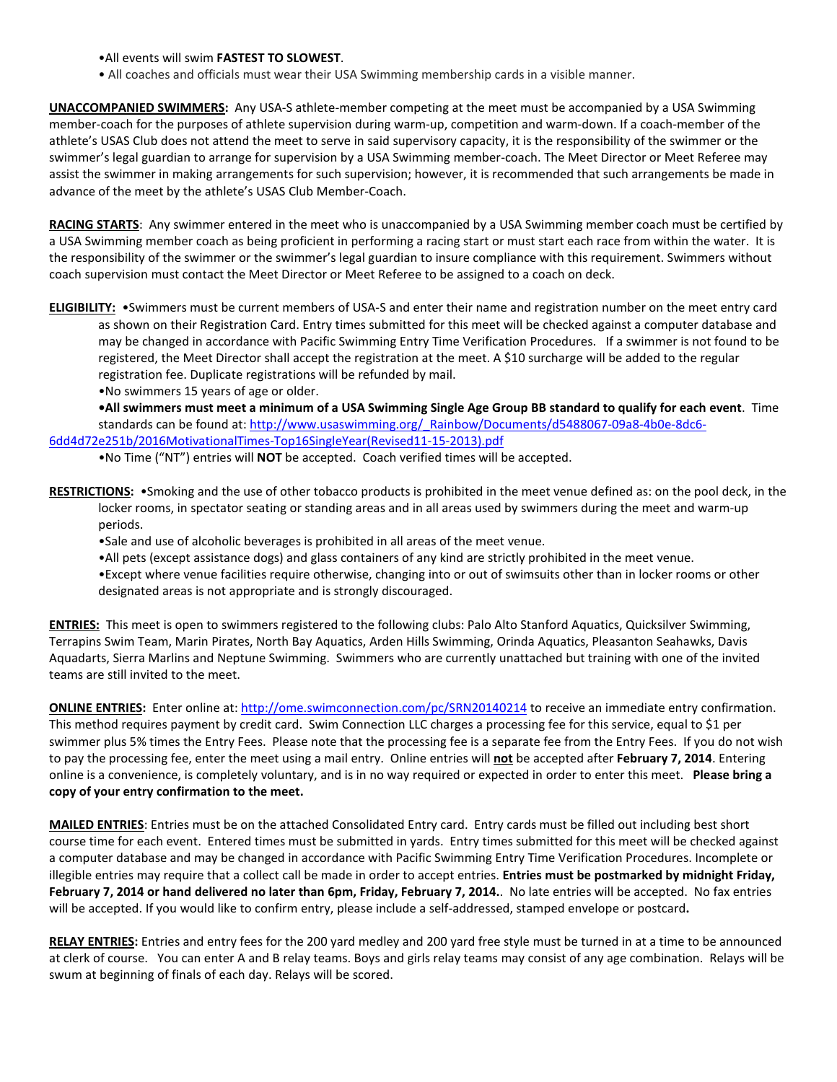•All events will swim **FASTEST TO SLOWEST**.

• All coaches and officials must wear their USA Swimming membership cards in a visible manner.

**UNACCOMPANIED SWIMMERS:** Any USA-S athlete-member competing at the meet must be accompanied by a USA Swimming member-coach for the purposes of athlete supervision during warm-up, competition and warm-down. If a coach-member of the athlete's USAS Club does not attend the meet to serve in said supervisory capacity, it is the responsibility of the swimmer or the swimmer's legal guardian to arrange for supervision by a USA Swimming member-coach. The Meet Director or Meet Referee may assist the swimmer in making arrangements for such supervision; however, it is recommended that such arrangements be made in advance of the meet by the athlete's USAS Club Member-Coach.

**RACING STARTS**: Any swimmer entered in the meet who is unaccompanied by a USA Swimming member coach must be certified by a USA Swimming member coach as being proficient in performing a racing start or must start each race from within the water. It is the responsibility of the swimmer or the swimmer's legal guardian to insure compliance with this requirement. Swimmers without coach supervision must contact the Meet Director or Meet Referee to be assigned to a coach on deck.

**ELIGIBILITY:** •Swimmers must be current members of USA-S and enter their name and registration number on the meet entry card as shown on their Registration Card. Entry times submitted for this meet will be checked against a computer database and may be changed in accordance with Pacific Swimming Entry Time Verification Procedures. If a swimmer is not found to be registered, the Meet Director shall accept the registration at the meet. A \$10 surcharge will be added to the regular registration fee. Duplicate registrations will be refunded by mail.

•No swimmers 15 years of age or older.

**•All swimmers must meet a minimum of a USA Swimming Single Age Group BB standard to qualify for each event**. Time standards can be found at: http://www.usaswimming.org/ Rainbow/Documents/d5488067-09a8-4b0e-8dc6-[6dd4d72e251b/2016MotivationalTimes-Top16SingleYear\(Revised11-15-2013\).pdf](http://www.usaswimming.org/_Rainbow/Documents/d5488067-09a8-4b0e-8dc6-6dd4d72e251b/2016MotivationalTimes-Top16SingleYear(Revised11-15-2013).pdf)

•No Time ("NT") entries will **NOT** be accepted. Coach verified times will be accepted.

**RESTRICTIONS:** •Smoking and the use of other tobacco products is prohibited in the meet venue defined as: on the pool deck, in the locker rooms, in spectator seating or standing areas and in all areas used by swimmers during the meet and warm-up periods.

- •Sale and use of alcoholic beverages is prohibited in all areas of the meet venue.
- •All pets (except assistance dogs) and glass containers of any kind are strictly prohibited in the meet venue.
- •Except where venue facilities require otherwise, changing into or out of swimsuits other than in locker rooms or other designated areas is not appropriate and is strongly discouraged.

**ENTRIES:** This meet is open to swimmers registered to the following clubs: Palo Alto Stanford Aquatics, Quicksilver Swimming, Terrapins Swim Team, Marin Pirates, North Bay Aquatics, Arden Hills Swimming, Orinda Aquatics, Pleasanton Seahawks, Davis Aquadarts, Sierra Marlins and Neptune Swimming. Swimmers who are currently unattached but training with one of the invited teams are still invited to the meet.

**ONLINE ENTRIES:** Enter online at[: http://ome.swimconnection.com/pc/SRN20140214](http://ome.swimconnection.com/pc/SRN20140214) to receive an immediate entry confirmation. This method requires payment by credit card. Swim Connection LLC charges a processing fee for this service, equal to \$1 per swimmer plus 5% times the Entry Fees. Please note that the processing fee is a separate fee from the Entry Fees. If you do not wish to pay the processing fee, enter the meet using a mail entry. Online entries will **not** be accepted after **February 7, 2014**. Entering online is a convenience, is completely voluntary, and is in no way required or expected in order to enter this meet. **Please bring a copy of your entry confirmation to the meet.**

**MAILED ENTRIES**: Entries must be on the attached Consolidated Entry card. Entry cards must be filled out including best short course time for each event. Entered times must be submitted in yards. Entry times submitted for this meet will be checked against a computer database and may be changed in accordance with Pacific Swimming Entry Time Verification Procedures. Incomplete or illegible entries may require that a collect call be made in order to accept entries. **Entries must be postmarked by midnight Friday, February 7, 2014 or hand delivered no later than 6pm, Friday, February 7, 2014.**. No late entries will be accepted. No fax entries will be accepted. If you would like to confirm entry, please include a self-addressed, stamped envelope or postcard**.**

**RELAY ENTRIES:** Entries and entry fees for the 200 yard medley and 200 yard free style must be turned in at a time to be announced at clerk of course. You can enter A and B relay teams. Boys and girls relay teams may consist of any age combination. Relays will be swum at beginning of finals of each day. Relays will be scored.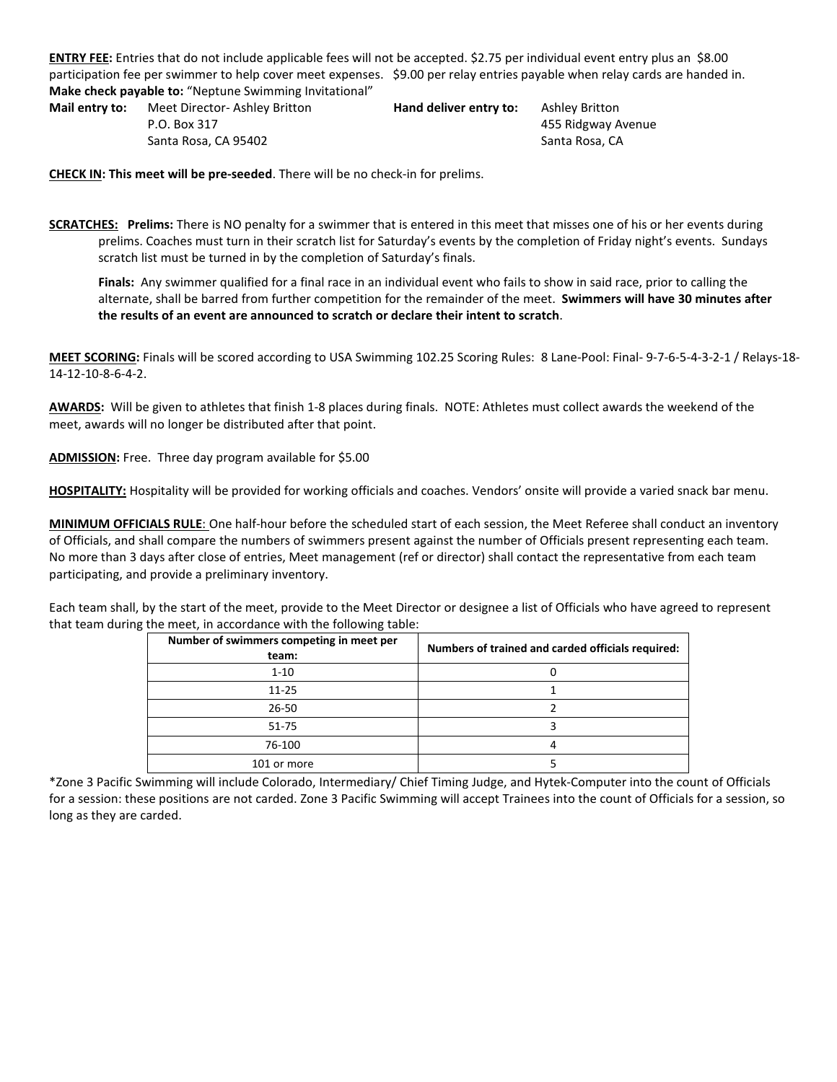**ENTRY FEE:** Entries that do not include applicable fees will not be accepted. \$2.75 per individual event entry plus an \$8.00 participation fee per swimmer to help cover meet expenses. \$9.00 per relay entries payable when relay cards are handed in. **Make check payable to:** "Neptune Swimming Invitational"

**Mail entry to:** Meet Director- Ashley Britton **Hand deliver entry to:** Ashley Britton P.O. Box 317 455 Ridgway Avenue Santa Rosa, CA 95402 Santa Rosa, CA

**CHECK IN: This meet will be pre-seeded**. There will be no check-in for prelims.

**SCRATCHES: Prelims:** There is NO penalty for a swimmer that is entered in this meet that misses one of his or her events during prelims. Coaches must turn in their scratch list for Saturday's events by the completion of Friday night's events. Sundays scratch list must be turned in by the completion of Saturday's finals.

**Finals:** Any swimmer qualified for a final race in an individual event who fails to show in said race, prior to calling the alternate, shall be barred from further competition for the remainder of the meet. **Swimmers will have 30 minutes after the results of an event are announced to scratch or declare their intent to scratch**.

**MEET SCORING:** Finals will be scored according to USA Swimming 102.25 Scoring Rules: 8 Lane-Pool: Final- 9-7-6-5-4-3-2-1 / Relays-18- 14-12-10-8-6-4-2.

**AWARDS:** Will be given to athletes that finish 1-8 places during finals. NOTE: Athletes must collect awards the weekend of the meet, awards will no longer be distributed after that point.

**ADMISSION:** Free. Three day program available for \$5.00

**HOSPITALITY:** Hospitality will be provided for working officials and coaches. Vendors' onsite will provide a varied snack bar menu.

**MINIMUM OFFICIALS RULE**: One half-hour before the scheduled start of each session, the Meet Referee shall conduct an inventory of Officials, and shall compare the numbers of swimmers present against the number of Officials present representing each team. No more than 3 days after close of entries, Meet management (ref or director) shall contact the representative from each team participating, and provide a preliminary inventory.

Each team shall, by the start of the meet, provide to the Meet Director or designee a list of Officials who have agreed to represent that team during the meet, in accordance with the following table:

| Number of swimmers competing in meet per<br>team: | Numbers of trained and carded officials required: |  |  |  |  |  |
|---------------------------------------------------|---------------------------------------------------|--|--|--|--|--|
| $1 - 10$                                          |                                                   |  |  |  |  |  |
| $11 - 25$                                         |                                                   |  |  |  |  |  |
| $26 - 50$                                         |                                                   |  |  |  |  |  |
| $51 - 75$                                         |                                                   |  |  |  |  |  |
| 76-100                                            |                                                   |  |  |  |  |  |
| 101 or more                                       |                                                   |  |  |  |  |  |

\*Zone 3 Pacific Swimming will include Colorado, Intermediary/ Chief Timing Judge, and Hytek-Computer into the count of Officials for a session: these positions are not carded. Zone 3 Pacific Swimming will accept Trainees into the count of Officials for a session, so long as they are carded.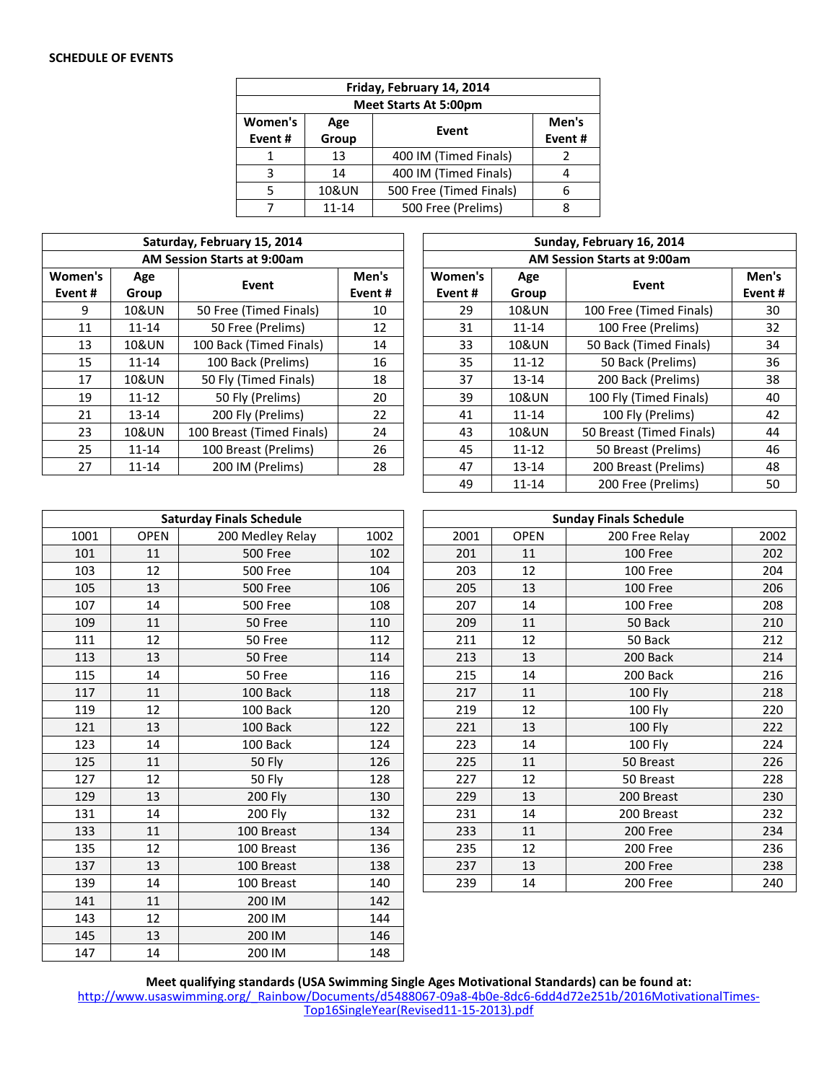## **SCHEDULE OF EVENTS**

| Friday, February 14, 2014                                     |                  |                         |  |  |  |  |  |  |
|---------------------------------------------------------------|------------------|-------------------------|--|--|--|--|--|--|
| <b>Meet Starts At 5:00pm</b>                                  |                  |                         |  |  |  |  |  |  |
| Women's<br>Men's<br>Age<br>Event<br>Group<br>Event#<br>Event# |                  |                         |  |  |  |  |  |  |
|                                                               | 13               | 400 IM (Timed Finals)   |  |  |  |  |  |  |
| з                                                             | 14               | 400 IM (Timed Finals)   |  |  |  |  |  |  |
|                                                               | <b>10&amp;UN</b> | 500 Free (Timed Finals) |  |  |  |  |  |  |
|                                                               | $11 - 14$        | 500 Free (Prelims)      |  |  |  |  |  |  |

| Saturday, February 15, 2014        |                  |                           |        |  |  |  |  |  |  |
|------------------------------------|------------------|---------------------------|--------|--|--|--|--|--|--|
| <b>AM Session Starts at 9:00am</b> |                  |                           |        |  |  |  |  |  |  |
| Women's                            | Age              | Event                     | Men's  |  |  |  |  |  |  |
| Event #                            | Group            |                           | Event# |  |  |  |  |  |  |
| 9                                  | 10&UN            | 50 Free (Timed Finals)    | 10     |  |  |  |  |  |  |
| 11                                 | $11 - 14$        | 50 Free (Prelims)         | 12     |  |  |  |  |  |  |
| 13                                 | 10&UN            | 100 Back (Timed Finals)   | 14     |  |  |  |  |  |  |
| 15                                 | $11 - 14$        | 100 Back (Prelims)        | 16     |  |  |  |  |  |  |
| 17                                 | 10&UN            | 50 Fly (Timed Finals)     | 18     |  |  |  |  |  |  |
| 19                                 | $11 - 12$        | 50 Fly (Prelims)          | 20     |  |  |  |  |  |  |
| 21                                 | 13-14            | 200 Fly (Prelims)         | 22     |  |  |  |  |  |  |
| 23                                 | <b>10&amp;UN</b> | 100 Breast (Timed Finals) | 24     |  |  |  |  |  |  |
| 25                                 | $11 - 14$        | 100 Breast (Prelims)      | 26     |  |  |  |  |  |  |
| 27                                 | $11 - 14$        | 200 IM (Prelims)          | 28     |  |  |  |  |  |  |

| Saturday, February 15, 2014 |                  |                             |                 |           | Sunday, February 16, 2014 |                  |                          |                 |  |  |  |  |
|-----------------------------|------------------|-----------------------------|-----------------|-----------|---------------------------|------------------|--------------------------|-----------------|--|--|--|--|
|                             |                  | AM Session Starts at 9:00am |                 |           |                           |                  |                          |                 |  |  |  |  |
| en's<br>າt #                | Age<br>Group     | Event                       | Men's<br>Event# |           | Women's<br>Event#         | Age<br>Group     | Event                    | Men's<br>Event# |  |  |  |  |
| 9                           | <b>10&amp;UN</b> | 50 Free (Timed Finals)      | 10              |           | 29                        | <b>10&amp;UN</b> | 100 Free (Timed Finals)  | 30              |  |  |  |  |
| 11                          | $11 - 14$        | 50 Free (Prelims)           | 12              |           | 31                        | $11 - 14$        | 100 Free (Prelims)       | 32              |  |  |  |  |
| 13                          | <b>10&amp;UN</b> | 100 Back (Timed Finals)     | 14              |           | 33                        | <b>10&amp;UN</b> | 50 Back (Timed Finals)   | 34              |  |  |  |  |
| 15                          | $11 - 14$        | 100 Back (Prelims)          | 16              |           | 35                        | $11 - 12$        | 50 Back (Prelims)        | 36              |  |  |  |  |
| 17                          | <b>10&amp;UN</b> | 50 Fly (Timed Finals)       | 18              |           | 37                        | $13 - 14$        | 200 Back (Prelims)       | 38              |  |  |  |  |
| 19                          | $11 - 12$        | 50 Fly (Prelims)            | 20              |           | 39                        | 10&UN            | 100 Fly (Timed Finals)   | 40              |  |  |  |  |
| 21                          | $13 - 14$        | 200 Fly (Prelims)           | 22              |           | 41                        | $11 - 14$        | 100 Fly (Prelims)        | 42              |  |  |  |  |
| 23                          | <b>10&amp;UN</b> | 100 Breast (Timed Finals)   | 24              |           | 43                        | 10&UN            | 50 Breast (Timed Finals) | 44              |  |  |  |  |
| 25                          | $11 - 14$        | 100 Breast (Prelims)        | 26              |           | 45                        | $11 - 12$        | 50 Breast (Prelims)      | 46              |  |  |  |  |
| 27                          | $11 - 14$        | 200 IM (Prelims)            | 28              |           | 47                        | $13 - 14$        | 200 Breast (Prelims)     | 48              |  |  |  |  |
|                             |                  |                             | 49              | $11 - 14$ | 200 Free (Prelims)        | 50               |                          |                 |  |  |  |  |

|      |             | <b>Saturday Finals Schedule</b> | <b>Sunday Finals Schedule</b> |      |             |                |      |  |  |
|------|-------------|---------------------------------|-------------------------------|------|-------------|----------------|------|--|--|
| 1001 | <b>OPEN</b> | 200 Medley Relay                | 1002                          | 2001 | <b>OPEN</b> | 200 Free Relay | 2002 |  |  |
| 101  | 11          | 500 Free                        | 102                           | 201  | 11          | 100 Free       | 202  |  |  |
| 103  | 12          | <b>500 Free</b>                 | 104                           | 203  | 12          | 100 Free       | 204  |  |  |
| 105  | 13          | <b>500 Free</b>                 | 106                           | 205  | 13          | 100 Free       | 206  |  |  |
| 107  | 14          | <b>500 Free</b>                 | 108                           | 207  | 14          | 100 Free       | 208  |  |  |
| 109  | 11          | 50 Free                         | 110                           | 209  | 11          | 50 Back        | 210  |  |  |
| 111  | 12          | 50 Free                         | 112                           | 211  | 12          | 50 Back        | 212  |  |  |
| 113  | 13          | 50 Free                         | 114                           | 213  | 13          | 200 Back       | 214  |  |  |
| 115  | 14          | 50 Free                         | 116                           | 215  | 14          | 200 Back       | 216  |  |  |
| 117  | 11          | 100 Back                        | 118                           | 217  | 11          | <b>100 Fly</b> | 218  |  |  |
| 119  | 12          | 100 Back                        | 120                           | 219  | 12          | 100 Fly        | 220  |  |  |
| 121  | 13          | 100 Back                        | 122                           | 221  | 13          | <b>100 Fly</b> | 222  |  |  |
| 123  | 14          | 100 Back                        | 124                           | 223  | 14          | 100 Fly        | 224  |  |  |
| 125  | 11          | 50 Fly                          | 126                           | 225  | 11          | 50 Breast      | 226  |  |  |
| 127  | 12          | 50 Fly                          | 128                           | 227  | 12          | 50 Breast      | 228  |  |  |
| 129  | 13          | <b>200 Fly</b>                  | 130                           | 229  | 13          | 200 Breast     | 230  |  |  |
| 131  | 14          | 200 Fly                         | 132                           | 231  | 14          | 200 Breast     | 232  |  |  |
| 133  | 11          | 100 Breast                      | 134                           | 233  | 11          | 200 Free       | 234  |  |  |
| 135  | 12          | 100 Breast                      | 136                           | 235  | 12          | 200 Free       | 236  |  |  |
| 137  | 13          | 100 Breast                      | 138                           | 237  | 13          | 200 Free       | 238  |  |  |
| 139  | 14          | 100 Breast                      | 140                           | 239  | 14          | 200 Free       | 240  |  |  |
| 141  | 11          | 200 IM                          | 142                           |      |             |                |      |  |  |
| 143  | 12          | 200 IM                          | 144                           |      |             |                |      |  |  |
| 145  | 13          | 200 IM                          | 146                           |      |             |                |      |  |  |
| 147  | 14          | 200 IM                          | 148                           |      |             |                |      |  |  |

**Meet qualifying standards (USA Swimming Single Ages Motivational Standards) can be found at:** 

[http://www.usaswimming.org/\\_Rainbow/Documents/d5488067-09a8-4b0e-8dc6-6dd4d72e251b/2016MotivationalTimes-](http://www.usaswimming.org/_Rainbow/Documents/d5488067-09a8-4b0e-8dc6-6dd4d72e251b/2016MotivationalTimes-Top16SingleYear(Revised11-15-2013).pdf)[Top16SingleYear\(Revised11-15-2013\).pdf](http://www.usaswimming.org/_Rainbow/Documents/d5488067-09a8-4b0e-8dc6-6dd4d72e251b/2016MotivationalTimes-Top16SingleYear(Revised11-15-2013).pdf)